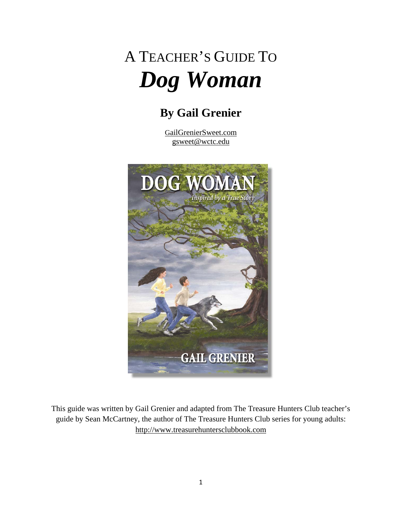# A TEACHER'S GUIDE TO *Dog Woman*

# **By Gail Grenier**

GailGrenierSweet.com gsweet@wctc.edu



This guide was written by Gail Grenier and adapted from The Treasure Hunters Club teacher's guide by Sean McCartney, the author of The Treasure Hunters Club series for young adults: http://www.treasurehuntersclubbook.com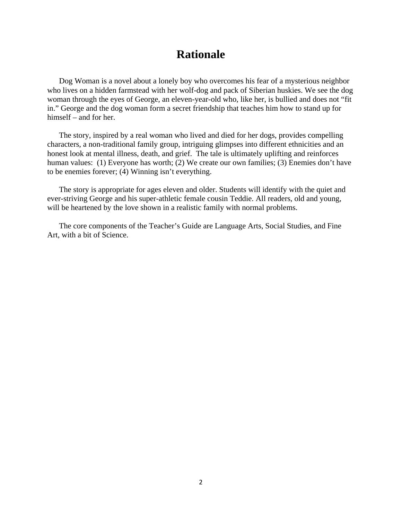### **Rationale**

 Dog Woman is a novel about a lonely boy who overcomes his fear of a mysterious neighbor who lives on a hidden farmstead with her wolf-dog and pack of Siberian huskies. We see the dog woman through the eyes of George, an eleven-year-old who, like her, is bullied and does not "fit in." George and the dog woman form a secret friendship that teaches him how to stand up for himself – and for her.

The story, inspired by a real woman who lived and died for her dogs, provides compelling characters, a non-traditional family group, intriguing glimpses into different ethnicities and an honest look at mental illness, death, and grief. The tale is ultimately uplifting and reinforces human values: (1) Everyone has worth; (2) We create our own families; (3) Enemies don't have to be enemies forever; (4) Winning isn't everything.

 The story is appropriate for ages eleven and older. Students will identify with the quiet and ever-striving George and his super-athletic female cousin Teddie. All readers, old and young, will be heartened by the love shown in a realistic family with normal problems.

 The core components of the Teacher's Guide are Language Arts, Social Studies, and Fine Art, with a bit of Science.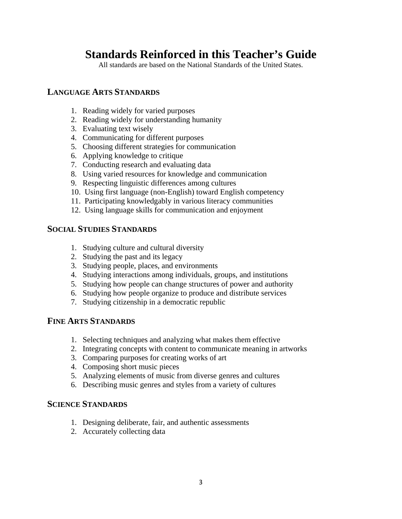## **Standards Reinforced in this Teacher's Guide**

All standards are based on the National Standards of the United States.

#### **LANGUAGE ARTS STANDARDS**

- 1. Reading widely for varied purposes
- 2. Reading widely for understanding humanity
- 3. Evaluating text wisely
- 4. Communicating for different purposes
- 5. Choosing different strategies for communication
- 6. Applying knowledge to critique
- 7. Conducting research and evaluating data
- 8. Using varied resources for knowledge and communication
- 9. Respecting linguistic differences among cultures
- 10. Using first language (non-English) toward English competency
- 11. Participating knowledgably in various literacy communities
- 12. Using language skills for communication and enjoyment

#### **SOCIAL STUDIES STANDARDS**

- 1. Studying culture and cultural diversity
- 2. Studying the past and its legacy
- 3. Studying people, places, and environments
- 4. Studying interactions among individuals, groups, and institutions
- 5. Studying how people can change structures of power and authority
- 6. Studying how people organize to produce and distribute services
- 7. Studying citizenship in a democratic republic

#### **FINE ARTS STANDARDS**

- 1. Selecting techniques and analyzing what makes them effective
- 2. Integrating concepts with content to communicate meaning in artworks
- 3. Comparing purposes for creating works of art
- 4. Composing short music pieces
- 5. Analyzing elements of music from diverse genres and cultures
- 6. Describing music genres and styles from a variety of cultures

#### **SCIENCE STANDARDS**

- 1. Designing deliberate, fair, and authentic assessments
- 2. Accurately collecting data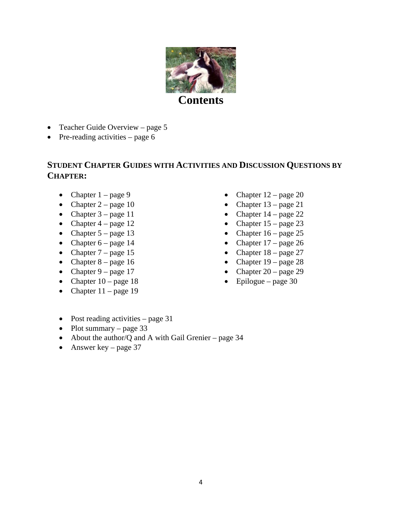

- Teacher Guide Overview page
- Pre-reading activities page

### **STUDENT CHAPTER GUIDES WITH ACTIVITIES AND DISCUSSION QUESTIONS BY CHAPTER:**

- Chapter  $1 \text{page } 9$
- Chapter page 10
- Chapter page 11
- Chapter page 12
- Chapter  $5 page 13$
- Chapter page 14
- Chapter page 15
- Chapter page 16
- Chapter page 17
- Chapter  $10 \text{page } 18$
- Chapter  $11 \text{page 19}$
- Chapter 12 page 20
- Chapter page 21
- Chapter page 22
- Chapter page 23
- Chapter page 25
- Chapter page 26
- Chapter page 27
- Chapter page 28
- Chapter page 29
- $\bullet$  Epilogue page 30

- Post reading activities page 31
- Plot summary page
- About the author/Q and A with Gail Grenier page 34
- Answer key page 37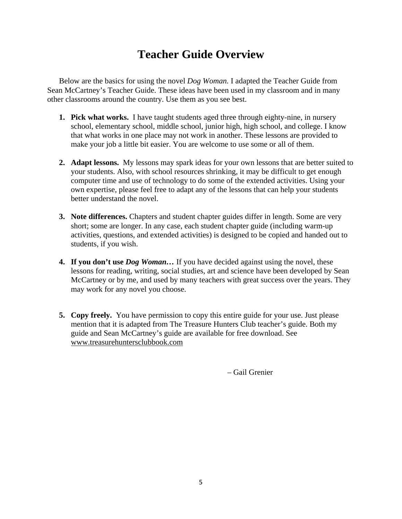# **Teacher Guide Overview**

Below are the basics for using the novel *Dog Woman.* I adapted the Teacher Guide from Sean McCartney's Teacher Guide. These ideas have been used in my classroom and in many other classrooms around the country. Use them as you see best.

- **1. Pick what works.** I have taught students aged three through eighty-nine, in nursery school, elementary school, middle school, junior high, high school, and college. I know that what works in one place may not work in another. These lessons are provided to make your job a little bit easier. You are welcome to use some or all of them.
- **2. Adapt lessons.** My lessons may spark ideas for your own lessons that are better suited to your students. Also, with school resources shrinking, it may be difficult to get enough computer time and use of technology to do some of the extended activities. Using your own expertise, please feel free to adapt any of the lessons that can help your students better understand the novel.
- **3. Note differences.** Chapters and student chapter guides differ in length. Some are very short; some are longer. In any case, each student chapter guide (including warm-up activities, questions, and extended activities) is designed to be copied and handed out to students, if you wish.
- **4. If you don't use** *Dog Woman…* If you have decided against using the novel, these lessons for reading, writing, social studies, art and science have been developed by Sean McCartney or by me, and used by many teachers with great success over the years. They may work for any novel you choose.
- **5. Copy freely.** You have permission to copy this entire guide for your use. Just please mention that it is adapted from The Treasure Hunters Club teacher's guide. Both my guide and Sean McCartney's guide are available for free download. See www.treasurehuntersclubbook.com

– Gail Grenier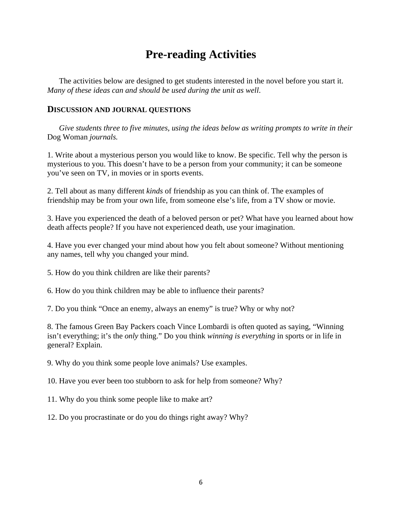# **Pre-reading Activities**

 The activities below are designed to get students interested in the novel before you start it. *Many of these ideas can and should be used during the unit as well*.

#### **DISCUSSION AND JOURNAL QUESTIONS**

 *Give students three to five minutes, using the ideas below as writing prompts to write in their*  Dog Woman *journals.* 

1. Write about a mysterious person you would like to know. Be specific. Tell why the person is mysterious to you. This doesn't have to be a person from your community; it can be someone you've seen on TV, in movies or in sports events.

2. Tell about as many different *kinds* of friendship as you can think of. The examples of friendship may be from your own life, from someone else's life, from a TV show or movie.

3. Have you experienced the death of a beloved person or pet? What have you learned about how death affects people? If you have not experienced death, use your imagination.

4. Have you ever changed your mind about how you felt about someone? Without mentioning any names, tell why you changed your mind.

5. How do you think children are like their parents?

6. How do you think children may be able to influence their parents?

7. Do you think "Once an enemy, always an enemy" is true? Why or why not?

8. The famous Green Bay Packers coach Vince Lombardi is often quoted as saying, "Winning isn't everything; it's the *only* thing." Do you think *winning is everything* in sports or in life in general? Explain.

9. Why do you think some people love animals? Use examples.

10. Have you ever been too stubborn to ask for help from someone? Why?

11. Why do you think some people like to make art?

12. Do you procrastinate or do you do things right away? Why?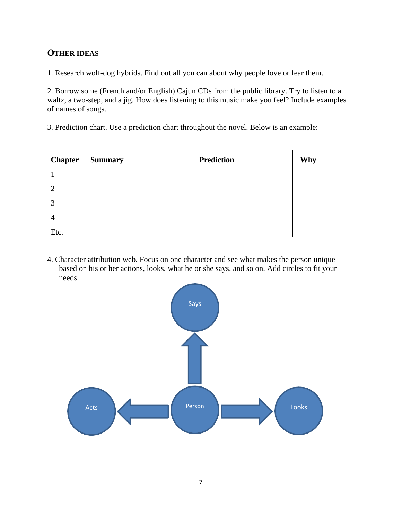#### **OTHER IDEAS**

1. Research wolf-dog hybrids. Find out all you can about why people love or fear them.

2. Borrow some (French and/or English) Cajun CDs from the public library. Try to listen to a waltz, a two-step, and a jig. How does listening to this music make you feel? Include examples of names of songs.

3. Prediction chart. Use a prediction chart throughout the novel. Below is an example:

| <b>Chapter</b> | <b>Summary</b> | <b>Prediction</b> | Why |
|----------------|----------------|-------------------|-----|
|                |                |                   |     |
| ി              |                |                   |     |
| 2              |                |                   |     |
| 4              |                |                   |     |
| Etc.           |                |                   |     |

4. Character attribution web. Focus on one character and see what makes the person unique based on his or her actions, looks, what he or she says, and so on. Add circles to fit your needs.

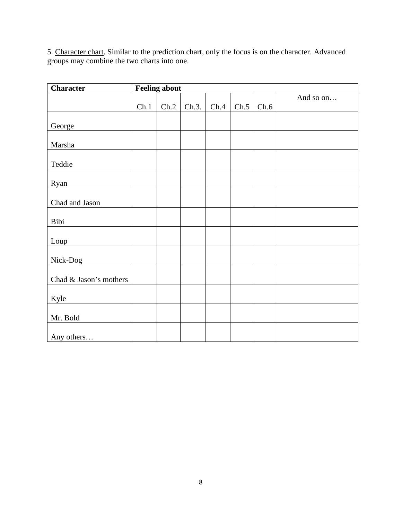5. Character chart. Similar to the prediction chart, only the focus is on the character. Advanced groups may combine the two charts into one.

| <b>Character</b>       | <b>Feeling about</b> |      |       |      |      |      |           |  |  |
|------------------------|----------------------|------|-------|------|------|------|-----------|--|--|
|                        | Ch.1                 | Ch.2 | Ch.3. | Ch.4 | Ch.5 | Ch.6 | And so on |  |  |
| George                 |                      |      |       |      |      |      |           |  |  |
| Marsha                 |                      |      |       |      |      |      |           |  |  |
| Teddie                 |                      |      |       |      |      |      |           |  |  |
| Ryan                   |                      |      |       |      |      |      |           |  |  |
| Chad and Jason         |                      |      |       |      |      |      |           |  |  |
| Bibi                   |                      |      |       |      |      |      |           |  |  |
| Loup                   |                      |      |       |      |      |      |           |  |  |
| Nick-Dog               |                      |      |       |      |      |      |           |  |  |
| Chad & Jason's mothers |                      |      |       |      |      |      |           |  |  |
| Kyle                   |                      |      |       |      |      |      |           |  |  |
| Mr. Bold               |                      |      |       |      |      |      |           |  |  |
| Any others             |                      |      |       |      |      |      |           |  |  |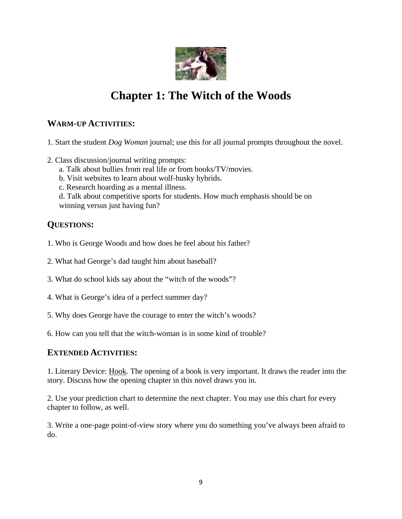

# **Chapter 1: The Witch of the Woods**

#### **WARM-UP ACTIVITIES:**

- 1. Start the student *Dog Woman* journal; use this for all journal prompts throughout the novel.
- 2. Class discussion/journal writing prompts:
	- a. Talk about bullies from real life or from books/TV/movies.
	- b. Visit websites to learn about wolf-husky hybrids.
	- c. Research hoarding as a mental illness.

 d. Talk about competitive sports for students. How much emphasis should be on winning versus just having fun?

### **QUESTIONS:**

- 1. Who is George Woods and how does he feel about his father?
- 2. What had George's dad taught him about baseball?
- 3. What do school kids say about the "witch of the woods"?
- 4. What is George's idea of a perfect summer day?
- 5. Why does George have the courage to enter the witch's woods?
- 6. How can you tell that the witch-woman is in some kind of trouble?

#### **EXTENDED ACTIVITIES:**

1. Literary Device: Hook*.* The opening of a book is very important. It draws the reader into the story. Discuss how the opening chapter in this novel draws you in.

2. Use your prediction chart to determine the next chapter. You may use this chart for every chapter to follow, as well.

3. Write a one-page point-of-view story where you do something you've always been afraid to do.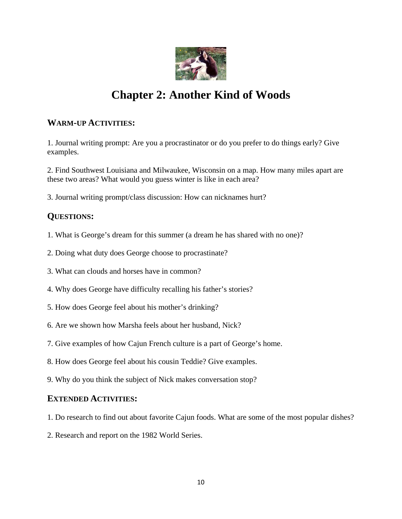

# **Chapter 2: Another Kind of Woods**

#### **WARM-UP ACTIVITIES:**

1. Journal writing prompt: Are you a procrastinator or do you prefer to do things early? Give examples.

2. Find Southwest Louisiana and Milwaukee, Wisconsin on a map. How many miles apart are these two areas? What would you guess winter is like in each area?

3. Journal writing prompt/class discussion: How can nicknames hurt?

#### **QUESTIONS:**

- 1. What is George's dream for this summer (a dream he has shared with no one)?
- 2. Doing what duty does George choose to procrastinate?
- 3. What can clouds and horses have in common?
- 4. Why does George have difficulty recalling his father's stories?
- 5. How does George feel about his mother's drinking?
- 6. Are we shown how Marsha feels about her husband, Nick?
- 7. Give examples of how Cajun French culture is a part of George's home.
- 8. How does George feel about his cousin Teddie? Give examples.
- 9. Why do you think the subject of Nick makes conversation stop?

#### **EXTENDED ACTIVITIES:**

- 1. Do research to find out about favorite Cajun foods. What are some of the most popular dishes?
- 2. Research and report on the 1982 World Series.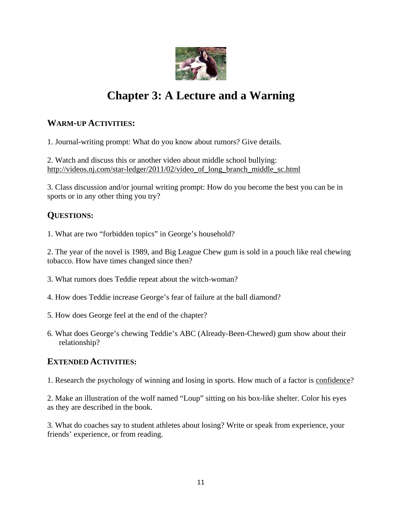

# **Chapter 3: A Lecture and a Warning**

### **WARM-UP ACTIVITIES:**

1. Journal-writing prompt: What do you know about rumors? Give details.

2. Watch and discuss this or another video about middle school bullying: http://videos.nj.com/star-ledger/2011/02/video\_of\_long\_branch\_middle\_sc.html

3. Class discussion and/or journal writing prompt: How do you become the best you can be in sports or in any other thing you try?

### **QUESTIONS:**

1. What are two "forbidden topics" in George's household?

2. The year of the novel is 1989, and Big League Chew gum is sold in a pouch like real chewing tobacco. How have times changed since then?

- 3. What rumors does Teddie repeat about the witch-woman?
- 4. How does Teddie increase George's fear of failure at the ball diamond?
- 5. How does George feel at the end of the chapter?
- 6. What does George's chewing Teddie's ABC (Already-Been-Chewed) gum show about their relationship?

#### **EXTENDED ACTIVITIES:**

1. Research the psychology of winning and losing in sports. How much of a factor is confidence?

2. Make an illustration of the wolf named "Loup" sitting on his box-like shelter. Color his eyes as they are described in the book.

3. What do coaches say to student athletes about losing? Write or speak from experience, your friends' experience, or from reading.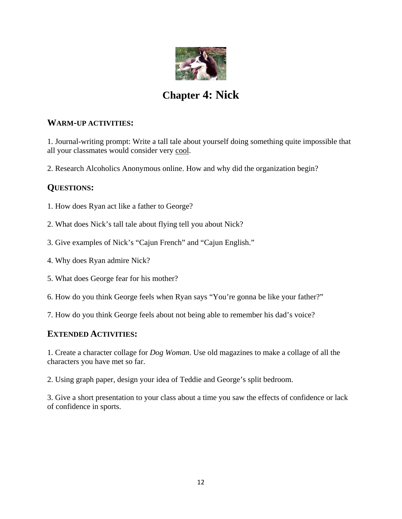

# **Chapter 4: Nick**

#### **WARM-UP ACTIVITIES:**

1. Journal-writing prompt: Write a tall tale about yourself doing something quite impossible that all your classmates would consider very cool.

2. Research Alcoholics Anonymous online. How and why did the organization begin?

### **QUESTIONS:**

- 1. How does Ryan act like a father to George?
- 2. What does Nick's tall tale about flying tell you about Nick?
- 3. Give examples of Nick's "Cajun French" and "Cajun English."
- 4. Why does Ryan admire Nick?
- 5. What does George fear for his mother?
- 6. How do you think George feels when Ryan says "You're gonna be like your father?"
- 7. How do you think George feels about not being able to remember his dad's voice?

#### **EXTENDED ACTIVITIES:**

1. Create a character collage for *Dog Woman*. Use old magazines to make a collage of all the characters you have met so far.

2. Using graph paper, design your idea of Teddie and George's split bedroom.

3. Give a short presentation to your class about a time you saw the effects of confidence or lack of confidence in sports.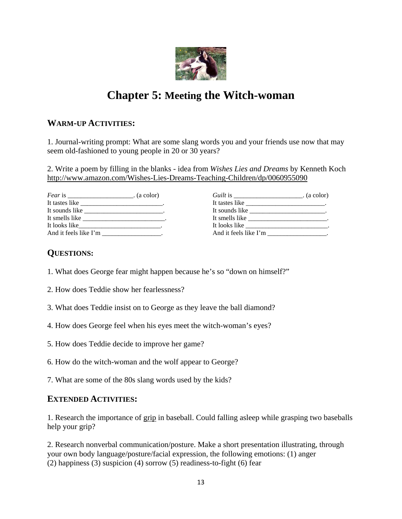

# **Chapter 5: Meeting the Witch-woman**

#### **WARM-UP ACTIVITIES:**

1. Journal-writing prompt: What are some slang words you and your friends use now that may seem old-fashioned to young people in 20 or 30 years?

2. Write a poem by filling in the blanks - idea from *Wishes Lies and Dreams* by Kenneth Koch http://www.amazon.com/Wishes-Lies-Dreams-Teaching-Children/dp/0060955090

| <i>Fear</i> is ________________________. (a color) |  |
|----------------------------------------------------|--|
|                                                    |  |
|                                                    |  |
| It smells like                                     |  |
| It looks like                                      |  |
| And it feels like I'm                              |  |

| Guilt is $\_\_\_\_\_\_\_\_\_\$ . (a color)   |  |
|----------------------------------------------|--|
|                                              |  |
|                                              |  |
|                                              |  |
| It looks like ______________________________ |  |
| And it feels like I'm                        |  |

#### **QUESTIONS:**

- 1. What does George fear might happen because he's so "down on himself?"
- 2. How does Teddie show her fearlessness?
- 3. What does Teddie insist on to George as they leave the ball diamond?
- 4. How does George feel when his eyes meet the witch-woman's eyes?
- 5. How does Teddie decide to improve her game?
- 6. How do the witch-woman and the wolf appear to George?
- 7. What are some of the 80s slang words used by the kids?

#### **EXTENDED ACTIVITIES:**

1. Research the importance of grip in baseball. Could falling asleep while grasping two baseballs help your grip?

2. Research nonverbal communication/posture. Make a short presentation illustrating, through your own body language/posture/facial expression, the following emotions: (1) anger (2) happiness (3) suspicion (4) sorrow (5) readiness-to-fight (6) fear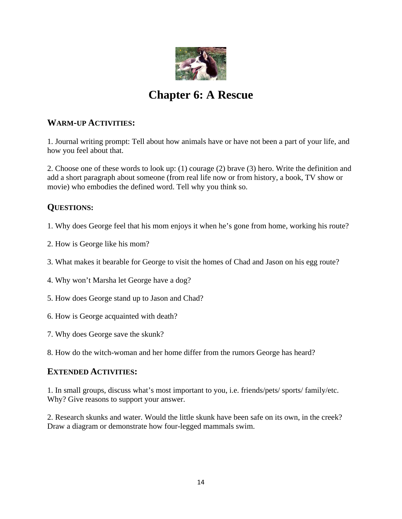

# **Chapter 6: A Rescue**

#### **WARM-UP ACTIVITIES:**

1. Journal writing prompt: Tell about how animals have or have not been a part of your life, and how you feel about that.

2. Choose one of these words to look up: (1) courage (2) brave (3) hero. Write the definition and add a short paragraph about someone (from real life now or from history, a book, TV show or movie) who embodies the defined word. Tell why you think so.

### **QUESTIONS:**

- 1. Why does George feel that his mom enjoys it when he's gone from home, working his route?
- 2. How is George like his mom?
- 3. What makes it bearable for George to visit the homes of Chad and Jason on his egg route?
- 4. Why won't Marsha let George have a dog?
- 5. How does George stand up to Jason and Chad?
- 6. How is George acquainted with death?
- 7. Why does George save the skunk?
- 8. How do the witch-woman and her home differ from the rumors George has heard?

#### **EXTENDED ACTIVITIES:**

1. In small groups, discuss what's most important to you, i.e. friends/pets/ sports/ family/etc. Why? Give reasons to support your answer.

2. Research skunks and water. Would the little skunk have been safe on its own, in the creek? Draw a diagram or demonstrate how four-legged mammals swim.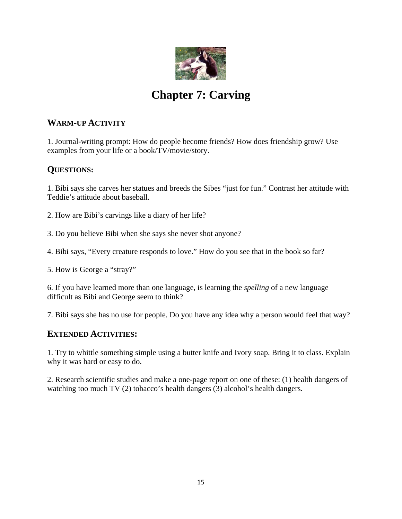

# **Chapter 7: Carving**

#### **WARM-UP ACTIVITY**

1. Journal-writing prompt: How do people become friends? How does friendship grow? Use examples from your life or a book/TV/movie/story.

### **QUESTIONS:**

1. Bibi says she carves her statues and breeds the Sibes "just for fun." Contrast her attitude with Teddie's attitude about baseball.

- 2. How are Bibi's carvings like a diary of her life?
- 3. Do you believe Bibi when she says she never shot anyone?
- 4. Bibi says, "Every creature responds to love." How do you see that in the book so far?
- 5. How is George a "stray?"

6. If you have learned more than one language, is learning the *spelling* of a new language difficult as Bibi and George seem to think?

7. Bibi says she has no use for people. Do you have any idea why a person would feel that way?

#### **EXTENDED ACTIVITIES:**

1. Try to whittle something simple using a butter knife and Ivory soap. Bring it to class. Explain why it was hard or easy to do.

2. Research scientific studies and make a one-page report on one of these: (1) health dangers of watching too much TV (2) tobacco's health dangers (3) alcohol's health dangers.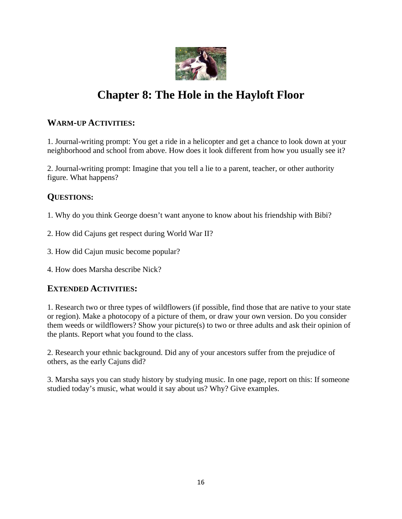

# **Chapter 8: The Hole in the Hayloft Floor**

#### **WARM-UP ACTIVITIES:**

1. Journal-writing prompt: You get a ride in a helicopter and get a chance to look down at your neighborhood and school from above. How does it look different from how you usually see it?

2. Journal-writing prompt: Imagine that you tell a lie to a parent, teacher, or other authority figure. What happens?

### **QUESTIONS:**

- 1. Why do you think George doesn't want anyone to know about his friendship with Bibi?
- 2. How did Cajuns get respect during World War II?
- 3. How did Cajun music become popular?
- 4. How does Marsha describe Nick?

#### **EXTENDED ACTIVITIES:**

1. Research two or three types of wildflowers (if possible, find those that are native to your state or region). Make a photocopy of a picture of them, or draw your own version. Do you consider them weeds or wildflowers? Show your picture(s) to two or three adults and ask their opinion of the plants. Report what you found to the class.

2. Research your ethnic background. Did any of your ancestors suffer from the prejudice of others, as the early Cajuns did?

3. Marsha says you can study history by studying music. In one page, report on this: If someone studied today's music, what would it say about us? Why? Give examples.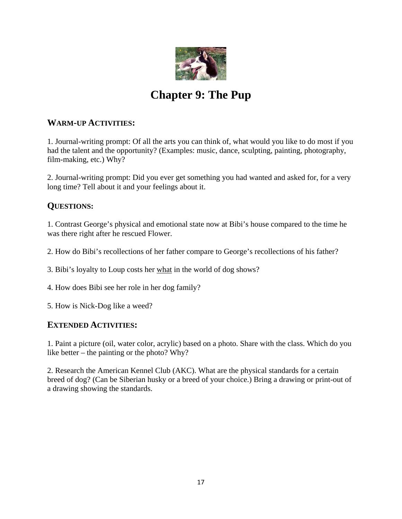

# **Chapter 9: The Pup**

#### **WARM-UP ACTIVITIES:**

1. Journal-writing prompt: Of all the arts you can think of, what would you like to do most if you had the talent and the opportunity? (Examples: music, dance, sculpting, painting, photography, film-making, etc.) Why?

2. Journal-writing prompt: Did you ever get something you had wanted and asked for, for a very long time? Tell about it and your feelings about it.

#### **QUESTIONS:**

1. Contrast George's physical and emotional state now at Bibi's house compared to the time he was there right after he rescued Flower.

2. How do Bibi's recollections of her father compare to George's recollections of his father?

3. Bibi's loyalty to Loup costs her what in the world of dog shows?

4. How does Bibi see her role in her dog family?

5. How is Nick-Dog like a weed?

#### **EXTENDED ACTIVITIES:**

1. Paint a picture (oil, water color, acrylic) based on a photo. Share with the class. Which do you like better – the painting or the photo? Why?

2. Research the American Kennel Club (AKC). What are the physical standards for a certain breed of dog? (Can be Siberian husky or a breed of your choice.) Bring a drawing or print-out of a drawing showing the standards.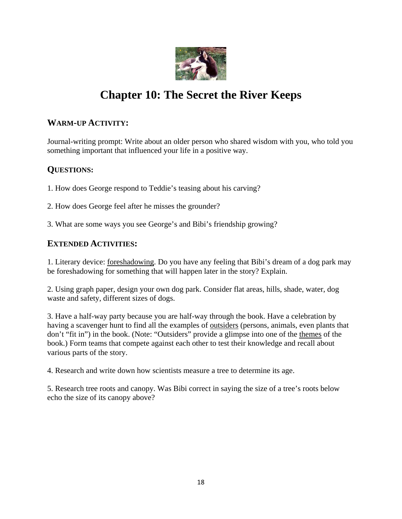

# **Chapter 10: The Secret the River Keeps**

#### **WARM-UP ACTIVITY:**

Journal-writing prompt: Write about an older person who shared wisdom with you, who told you something important that influenced your life in a positive way.

### **QUESTIONS:**

1. How does George respond to Teddie's teasing about his carving?

2. How does George feel after he misses the grounder?

3. What are some ways you see George's and Bibi's friendship growing?

### **EXTENDED ACTIVITIES:**

1. Literary device: foreshadowing. Do you have any feeling that Bibi's dream of a dog park may be foreshadowing for something that will happen later in the story? Explain.

2. Using graph paper, design your own dog park. Consider flat areas, hills, shade, water, dog waste and safety, different sizes of dogs.

3. Have a half-way party because you are half-way through the book. Have a celebration by having a scavenger hunt to find all the examples of outsiders (persons, animals, even plants that don't "fit in") in the book. (Note: "Outsiders" provide a glimpse into one of the themes of the book.) Form teams that compete against each other to test their knowledge and recall about various parts of the story.

4. Research and write down how scientists measure a tree to determine its age.

5. Research tree roots and canopy. Was Bibi correct in saying the size of a tree's roots below echo the size of its canopy above?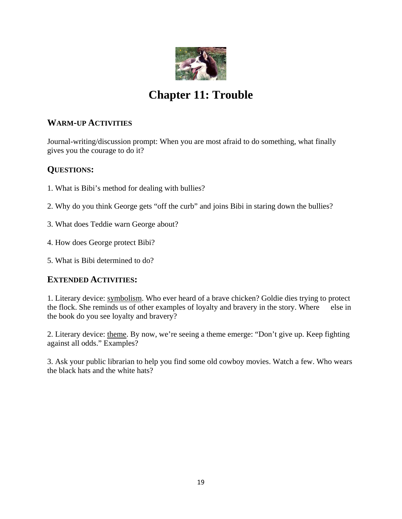

# **Chapter 11: Trouble**

#### **WARM-UP ACTIVITIES**

Journal-writing/discussion prompt: When you are most afraid to do something, what finally gives you the courage to do it?

### **QUESTIONS:**

- 1. What is Bibi's method for dealing with bullies?
- 2. Why do you think George gets "off the curb" and joins Bibi in staring down the bullies?
- 3. What does Teddie warn George about?
- 4. How does George protect Bibi?
- 5. What is Bibi determined to do?

#### **EXTENDED ACTIVITIES:**

1. Literary device: symbolism. Who ever heard of a brave chicken? Goldie dies trying to protect the flock. She reminds us of other examples of loyalty and bravery in the story. Where else in the book do you see loyalty and bravery?

2. Literary device: theme. By now, we're seeing a theme emerge: "Don't give up. Keep fighting against all odds." Examples?

3. Ask your public librarian to help you find some old cowboy movies. Watch a few. Who wears the black hats and the white hats?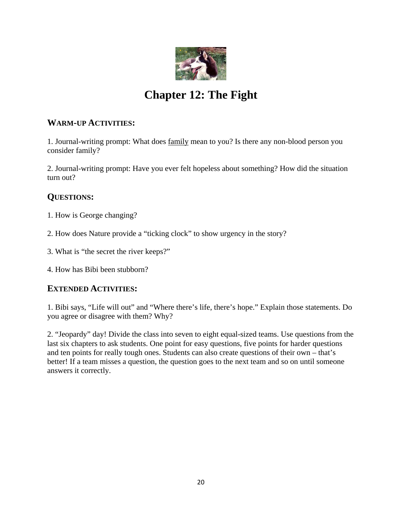

# **Chapter 12: The Fight**

#### **WARM-UP ACTIVITIES:**

1. Journal-writing prompt: What does family mean to you? Is there any non-blood person you consider family?

2. Journal-writing prompt: Have you ever felt hopeless about something? How did the situation turn out?

### **QUESTIONS:**

- 1. How is George changing?
- 2. How does Nature provide a "ticking clock" to show urgency in the story?
- 3. What is "the secret the river keeps?"
- 4. How has Bibi been stubborn?

### **EXTENDED ACTIVITIES:**

1. Bibi says, "Life will out" and "Where there's life, there's hope." Explain those statements. Do you agree or disagree with them? Why?

2. "Jeopardy" day! Divide the class into seven to eight equal-sized teams. Use questions from the last six chapters to ask students. One point for easy questions, five points for harder questions and ten points for really tough ones. Students can also create questions of their own – that's better! If a team misses a question, the question goes to the next team and so on until someone answers it correctly.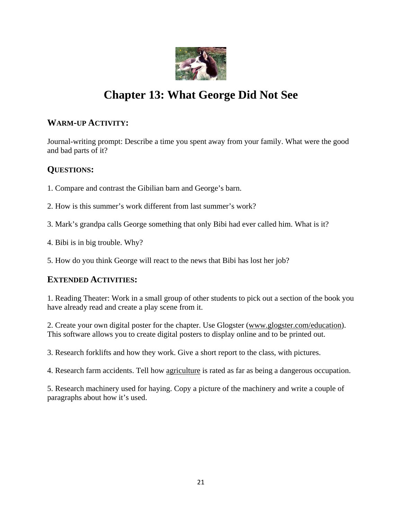

# **Chapter 13: What George Did Not See**

#### **WARM-UP ACTIVITY:**

Journal-writing prompt: Describe a time you spent away from your family. What were the good and bad parts of it?

#### **QUESTIONS:**

1. Compare and contrast the Gibilian barn and George's barn.

- 2. How is this summer's work different from last summer's work?
- 3. Mark's grandpa calls George something that only Bibi had ever called him. What is it?
- 4. Bibi is in big trouble. Why?

5. How do you think George will react to the news that Bibi has lost her job?

#### **EXTENDED ACTIVITIES:**

1. Reading Theater: Work in a small group of other students to pick out a section of the book you have already read and create a play scene from it.

2. Create your own digital poster for the chapter. Use Glogster (www.glogster.com/education). This software allows you to create digital posters to display online and to be printed out.

3. Research forklifts and how they work. Give a short report to the class, with pictures.

4. Research farm accidents. Tell how agriculture is rated as far as being a dangerous occupation.

5. Research machinery used for haying. Copy a picture of the machinery and write a couple of paragraphs about how it's used.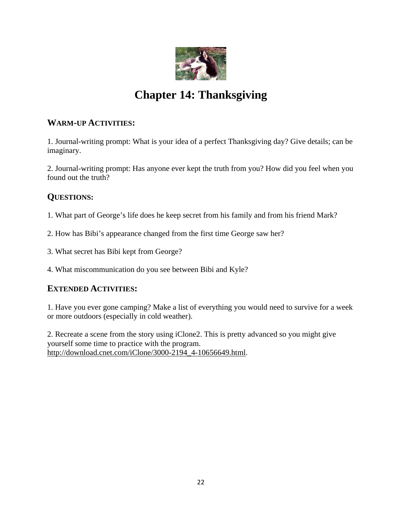

# **Chapter 14: Thanksgiving**

#### **WARM-UP ACTIVITIES:**

1. Journal-writing prompt: What is your idea of a perfect Thanksgiving day? Give details; can be imaginary.

2. Journal-writing prompt: Has anyone ever kept the truth from you? How did you feel when you found out the truth?

### **QUESTIONS:**

1. What part of George's life does he keep secret from his family and from his friend Mark?

- 2. How has Bibi's appearance changed from the first time George saw her?
- 3. What secret has Bibi kept from George?

4. What miscommunication do you see between Bibi and Kyle?

### **EXTENDED ACTIVITIES:**

1. Have you ever gone camping? Make a list of everything you would need to survive for a week or more outdoors (especially in cold weather).

2. Recreate a scene from the story using iClone2. This is pretty advanced so you might give yourself some time to practice with the program. http://download.cnet.com/iClone/3000-2194\_4-10656649.html.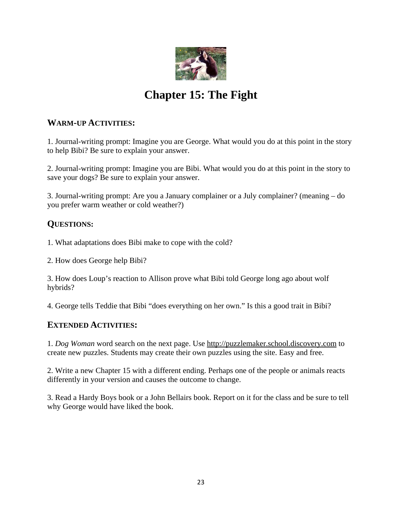

# **Chapter 15: The Fight**

#### **WARM-UP ACTIVITIES:**

1. Journal-writing prompt: Imagine you are George. What would you do at this point in the story to help Bibi? Be sure to explain your answer.

2. Journal-writing prompt: Imagine you are Bibi. What would you do at this point in the story to save your dogs? Be sure to explain your answer.

3. Journal-writing prompt: Are you a January complainer or a July complainer? (meaning – do you prefer warm weather or cold weather?)

### **QUESTIONS:**

1. What adaptations does Bibi make to cope with the cold?

2. How does George help Bibi?

3. How does Loup's reaction to Allison prove what Bibi told George long ago about wolf hybrids?

4. George tells Teddie that Bibi "does everything on her own." Is this a good trait in Bibi?

### **EXTENDED ACTIVITIES:**

1. *Dog Woman* word search on the next page. Use http://puzzlemaker.school.discovery.com to create new puzzles. Students may create their own puzzles using the site. Easy and free.

2. Write a new Chapter 15 with a different ending. Perhaps one of the people or animals reacts differently in your version and causes the outcome to change.

3. Read a Hardy Boys book or a John Bellairs book. Report on it for the class and be sure to tell why George would have liked the book.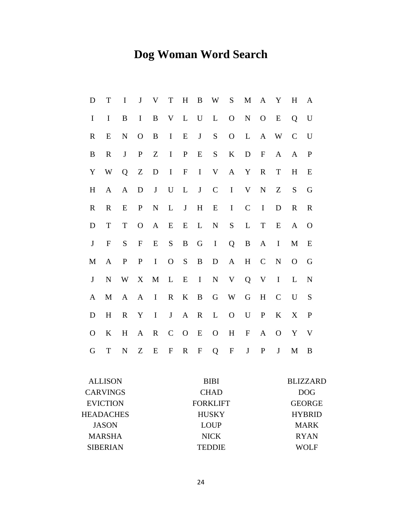# **Dog Woman Word Search**

| D                                | T               | I                | ${\bf J}$        | V            | T                         | $H_{\rm}$    | $\, {\bf B}$ | W               | S            | M           | $\mathbf{A}$ | Y               | H             | A             |
|----------------------------------|-----------------|------------------|------------------|--------------|---------------------------|--------------|--------------|-----------------|--------------|-------------|--------------|-----------------|---------------|---------------|
| $\mathbf I$                      | $\bf{I}$        | $\boldsymbol{B}$ | $\mathbf I$      | B            | V                         | L            | $\mathbf U$  | L               | $\mathbf{O}$ | ${\bf N}$   | $\mathbf{O}$ | ${\bf E}$       | Q             | U             |
| $\mathbf R$                      | E               | ${\bf N}$        | $\mathbf O$      | B            | $\bf{I}$                  | E            | $\bf J$      | ${\bf S}$       | $\mathbf O$  | L           | $\mathbf{A}$ | W               | $\mathcal{C}$ | $\mathbf U$   |
| B                                | $\mathbf R$     | $\bf J$          | $\mathbf{P}$     | Z            | $\bf{I}$                  | $\mathbf{P}$ | E            | S               | $\bf K$      | D           | $\mathbf F$  | $\mathbf{A}$    | A             | $\mathbf P$   |
| $\mathbf Y$                      | W               | Q                | $\boldsymbol{Z}$ | D            | $\mathbf I$               | $\mathbf{F}$ | $\mathbf I$  | V               | $\mathbf{A}$ | Y           | $\mathbb{R}$ | ${\bf T}$       | $H_{\rm}$     | E             |
| H                                | A               | A                | $\mathbf D$      | $\bf J$      | $\mathbf U$               | L            | $\bf J$      | $\mathcal{C}$   | $\mathbf I$  | V           | $\mathbf N$  | Z               | S             | G             |
| $\mathbb{R}$                     | $\mathbf R$     | E                | $\mathbf P$      | ${\bf N}$    | L                         | $\bf J$      | $H_{\rm}$    | E               | $\bf{I}$     | $\mathbf C$ | $\mathbf I$  | D               | $\mathbf R$   | $\mathbf R$   |
| D                                | T               | $\mathbf T$      | $\mathbf{O}$     | A            | ${\bf E}$                 | E            | L            | ${\bf N}$       | ${\bf S}$    | L           | T            | E               | $\mathbf{A}$  | $\Omega$      |
| $\bf J$                          | $\mathbf F$     | S                | $\mathbf{F}$     | E            | ${\bf S}$                 | $\bf{B}$     | G            | $\bf{I}$        | Q            | B           | $\mathbf{A}$ | $\bf{I}$        | $\mathbf M$   | E             |
| $\mathbf{M}$                     | $\mathbf{A}$    | $\mathbf P$      | $\mathbf P$      | $\mathbf I$  | $\mathbf{O}$              | ${\bf S}$    | $\, {\bf B}$ | D               | $\mathbf{A}$ | H           | $\mathsf{C}$ | ${\bf N}$       | $\mathbf{O}$  | G             |
| $\bf J$                          | $\mathbf N$     | W                | X                | $\mathbf{M}$ | $\mathbf L$               | E            | $\mathbf I$  | ${\bf N}$       | V            | $\mathbf Q$ | $\mathbf V$  | $\mathbf I$     | L             | $\mathbf N$   |
| A                                | M               | $\mathbf{A}$     | A                | $\bf I$      | $\mathbf R$               | $\bf K$      | $\bf{B}$     | G               | W            | G           | H            | $\mathcal{C}$   | U             | S             |
| D                                | H               | $\mathbf R$      | Y                | $\mathbf I$  | $\bf J$                   | $\mathbf{A}$ | $\mathbf R$  | L               | $\mathbf O$  | ${\bf U}$   | $\mathbf{P}$ | $\bf K$         | X             | $\mathbf{P}$  |
| $\mathbf{O}$                     | K               | H                | A                | $\mathbf R$  | $\mathbf C$               | $\mathbf{O}$ | E            | $\mathbf O$     | $H_{\rm}$    | ${\rm F}$   | $\mathbf{A}$ | $\mathbf{O}$    | Y             | V             |
| G                                | $\mathbf T$     | ${\bf N}$        | Z                | E            | $\boldsymbol{\mathrm{F}}$ | $\mathbf R$  | $\mathbf{F}$ | Q               | ${\bf F}$    | $\mathbf J$ | $\mathbf{P}$ | $\bf J$         | $\mathbf{M}$  | B             |
| <b>ALLISON</b><br><b>BIBI</b>    |                 |                  |                  |              |                           |              |              |                 |              |             |              | <b>BLIZZARD</b> |               |               |
| <b>CARVINGS</b><br><b>CHAD</b>   |                 |                  |                  |              |                           |              |              |                 |              | <b>DOG</b>  |              |                 |               |               |
|                                  | <b>EVICTION</b> |                  |                  |              |                           |              |              | <b>FORKLIFT</b> |              |             |              |                 |               | <b>GEORGE</b> |
| <b>HEADACHES</b>                 |                 |                  |                  |              |                           |              |              | <b>HUSKY</b>    |              |             |              |                 |               | <b>HYBRID</b> |
|                                  | <b>JASON</b>    |                  |                  |              |                           |              |              | <b>LOUP</b>     |              |             |              |                 | <b>MARK</b>   |               |
|                                  | <b>MARSHA</b>   |                  |                  |              |                           |              |              | <b>NICK</b>     |              |             |              |                 | <b>RYAN</b>   |               |
| <b>SIBERIAN</b><br><b>TEDDIE</b> |                 |                  |                  |              |                           |              |              |                 |              |             | <b>WOLF</b>  |                 |               |               |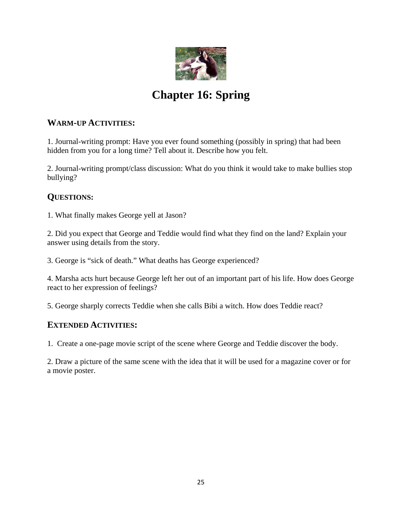

# **Chapter 16: Spring**

#### **WARM-UP ACTIVITIES:**

1. Journal-writing prompt: Have you ever found something (possibly in spring) that had been hidden from you for a long time? Tell about it. Describe how you felt.

2. Journal-writing prompt/class discussion: What do you think it would take to make bullies stop bullying?

#### **QUESTIONS:**

1. What finally makes George yell at Jason?

2. Did you expect that George and Teddie would find what they find on the land? Explain your answer using details from the story.

3. George is "sick of death." What deaths has George experienced?

4. Marsha acts hurt because George left her out of an important part of his life. How does George react to her expression of feelings?

5. George sharply corrects Teddie when she calls Bibi a witch. How does Teddie react?

#### **EXTENDED ACTIVITIES:**

1. Create a one-page movie script of the scene where George and Teddie discover the body.

2. Draw a picture of the same scene with the idea that it will be used for a magazine cover or for a movie poster.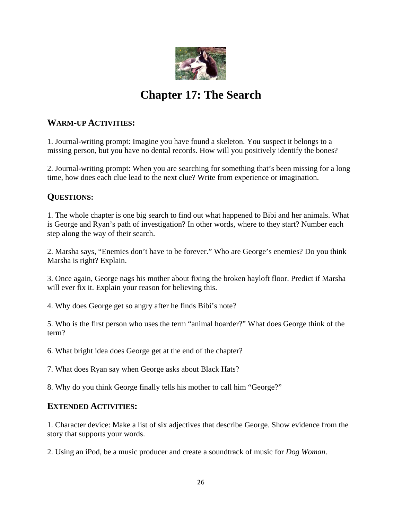

# **Chapter 17: The Search**

#### **WARM-UP ACTIVITIES:**

1. Journal-writing prompt: Imagine you have found a skeleton. You suspect it belongs to a missing person, but you have no dental records. How will you positively identify the bones?

2. Journal-writing prompt: When you are searching for something that's been missing for a long time, how does each clue lead to the next clue? Write from experience or imagination.

#### **QUESTIONS:**

1. The whole chapter is one big search to find out what happened to Bibi and her animals. What is George and Ryan's path of investigation? In other words, where to they start? Number each step along the way of their search.

2. Marsha says, "Enemies don't have to be forever." Who are George's enemies? Do you think Marsha is right? Explain.

3. Once again, George nags his mother about fixing the broken hayloft floor. Predict if Marsha will ever fix it. Explain your reason for believing this.

4. Why does George get so angry after he finds Bibi's note?

5. Who is the first person who uses the term "animal hoarder?" What does George think of the term?

6. What bright idea does George get at the end of the chapter?

7. What does Ryan say when George asks about Black Hats?

8. Why do you think George finally tells his mother to call him "George?"

#### **EXTENDED ACTIVITIES:**

1. Character device: Make a list of six adjectives that describe George. Show evidence from the story that supports your words.

2. Using an iPod, be a music producer and create a soundtrack of music for *Dog Woman*.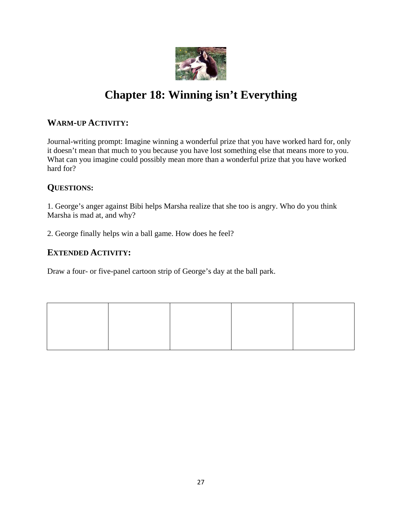

# **Chapter 18: Winning isn't Everything**

#### **WARM-UP ACTIVITY:**

Journal-writing prompt: Imagine winning a wonderful prize that you have worked hard for, only it doesn't mean that much to you because you have lost something else that means more to you. What can you imagine could possibly mean more than a wonderful prize that you have worked hard for?

#### **QUESTIONS:**

1. George's anger against Bibi helps Marsha realize that she too is angry. Who do you think Marsha is mad at, and why?

2. George finally helps win a ball game. How does he feel?

#### **EXTENDED ACTIVITY:**

Draw a four- or five-panel cartoon strip of George's day at the ball park.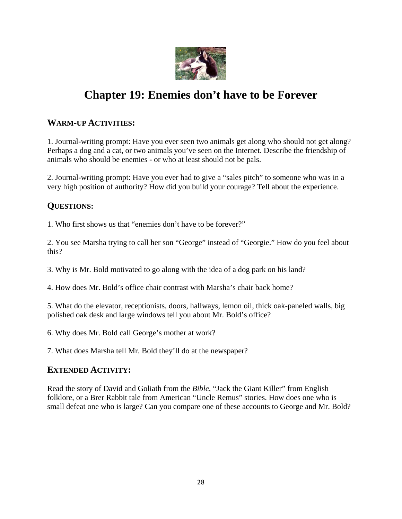

# **Chapter 19: Enemies don't have to be Forever**

#### **WARM-UP ACTIVITIES:**

1. Journal-writing prompt: Have you ever seen two animals get along who should not get along? Perhaps a dog and a cat, or two animals you've seen on the Internet. Describe the friendship of animals who should be enemies - or who at least should not be pals.

2. Journal-writing prompt: Have you ever had to give a "sales pitch" to someone who was in a very high position of authority? How did you build your courage? Tell about the experience.

#### **QUESTIONS:**

1. Who first shows us that "enemies don't have to be forever?"

2. You see Marsha trying to call her son "George" instead of "Georgie." How do you feel about this?

3. Why is Mr. Bold motivated to go along with the idea of a dog park on his land?

4. How does Mr. Bold's office chair contrast with Marsha's chair back home?

5. What do the elevator, receptionists, doors, hallways, lemon oil, thick oak-paneled walls, big polished oak desk and large windows tell you about Mr. Bold's office?

6. Why does Mr. Bold call George's mother at work?

7. What does Marsha tell Mr. Bold they'll do at the newspaper?

#### **EXTENDED ACTIVITY:**

Read the story of David and Goliath from the *Bible*, "Jack the Giant Killer" from English folklore, or a Brer Rabbit tale from American "Uncle Remus" stories. How does one who is small defeat one who is large? Can you compare one of these accounts to George and Mr. Bold?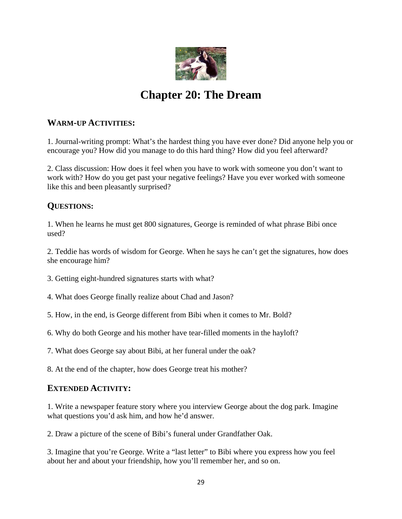

# **Chapter 20: The Dream**

#### **WARM-UP ACTIVITIES:**

1. Journal-writing prompt: What's the hardest thing you have ever done? Did anyone help you or encourage you? How did you manage to do this hard thing? How did you feel afterward?

2. Class discussion: How does it feel when you have to work with someone you don't want to work with? How do you get past your negative feelings? Have you ever worked with someone like this and been pleasantly surprised?

#### **QUESTIONS:**

1. When he learns he must get 800 signatures, George is reminded of what phrase Bibi once used?

2. Teddie has words of wisdom for George. When he says he can't get the signatures, how does she encourage him?

3. Getting eight-hundred signatures starts with what?

4. What does George finally realize about Chad and Jason?

5. How, in the end, is George different from Bibi when it comes to Mr. Bold?

6. Why do both George and his mother have tear-filled moments in the hayloft?

7. What does George say about Bibi, at her funeral under the oak?

8. At the end of the chapter, how does George treat his mother?

#### **EXTENDED ACTIVITY:**

1. Write a newspaper feature story where you interview George about the dog park. Imagine what questions you'd ask him, and how he'd answer.

2. Draw a picture of the scene of Bibi's funeral under Grandfather Oak.

3. Imagine that you're George. Write a "last letter" to Bibi where you express how you feel about her and about your friendship, how you'll remember her, and so on.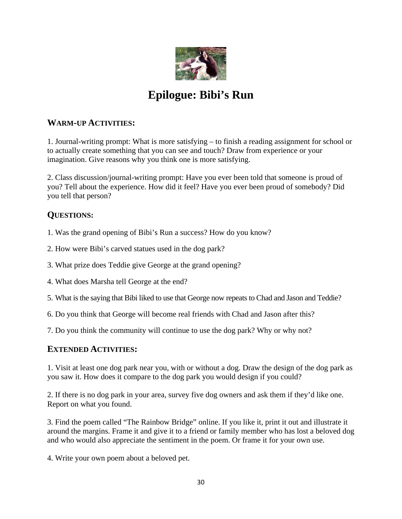

# **Epilogue: Bibi's Run**

#### **WARM-UP ACTIVITIES:**

1. Journal-writing prompt: What is more satisfying – to finish a reading assignment for school or to actually create something that you can see and touch? Draw from experience or your imagination. Give reasons why you think one is more satisfying.

2. Class discussion/journal-writing prompt: Have you ever been told that someone is proud of you? Tell about the experience. How did it feel? Have you ever been proud of somebody? Did you tell that person?

#### **QUESTIONS:**

1. Was the grand opening of Bibi's Run a success? How do you know?

- 2. How were Bibi's carved statues used in the dog park?
- 3. What prize does Teddie give George at the grand opening?
- 4. What does Marsha tell George at the end?
- 5. What is the saying that Bibi liked to use that George now repeats to Chad and Jason and Teddie?
- 6. Do you think that George will become real friends with Chad and Jason after this?
- 7. Do you think the community will continue to use the dog park? Why or why not?

#### **EXTENDED ACTIVITIES:**

1. Visit at least one dog park near you, with or without a dog. Draw the design of the dog park as you saw it. How does it compare to the dog park you would design if you could?

2. If there is no dog park in your area, survey five dog owners and ask them if they'd like one. Report on what you found.

3. Find the poem called "The Rainbow Bridge" online. If you like it, print it out and illustrate it around the margins. Frame it and give it to a friend or family member who has lost a beloved dog and who would also appreciate the sentiment in the poem. Or frame it for your own use.

4. Write your own poem about a beloved pet.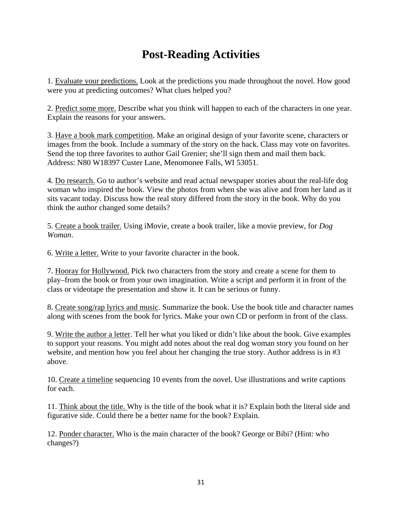# **Post-Reading Activities**

1. Evaluate your predictions. Look at the predictions you made throughout the novel. How good were you at predicting outcomes? What clues helped you?

2. Predict some more. Describe what you think will happen to each of the characters in one year. Explain the reasons for your answers.

3. Have a book mark competition. Make an original design of your favorite scene, characters or images from the book. Include a summary of the story on the back. Class may vote on favorites. Send the top three favorites to author Gail Grenier; she'll sign them and mail them back. Address: N80 W18397 Custer Lane, Menomonee Falls, WI 53051.

4. Do research. Go to author's website and read actual newspaper stories about the real-life dog woman who inspired the book. View the photos from when she was alive and from her land as it sits vacant today. Discuss how the real story differed from the story in the book. Why do you think the author changed some details?

5. Create a book trailer. Using iMovie, create a book trailer, like a movie preview, for *Dog Woman*.

6. Write a letter. Write to your favorite character in the book.

7. Hooray for Hollywood. Pick two characters from the story and create a scene for them to play–from the book or from your own imagination. Write a script and perform it in front of the class or videotape the presentation and show it. It can be serious or funny.

8. Create song/rap lyrics and music. Summarize the book. Use the book title and character names along with scenes from the book for lyrics. Make your own CD or perform in front of the class.

9. Write the author a letter. Tell her what you liked or didn't like about the book. Give examples to support your reasons. You might add notes about the real dog woman story you found on her website, and mention how you feel about her changing the true story. Author address is in #3 above.

10. Create a timeline sequencing 10 events from the novel. Use illustrations and write captions for each.

11. Think about the title. Why is the title of the book what it is? Explain both the literal side and figurative side. Could there be a better name for the book? Explain.

12. Ponder character. Who is the main character of the book? George or Bibi? (Hint: who changes?)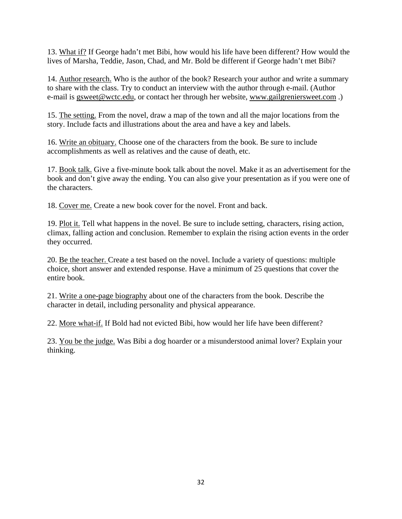13. What if? If George hadn't met Bibi, how would his life have been different? How would the lives of Marsha, Teddie, Jason, Chad, and Mr. Bold be different if George hadn't met Bibi?

14. Author research. Who is the author of the book? Research your author and write a summary to share with the class. Try to conduct an interview with the author through e-mail. (Author e-mail is gsweet@wctc.edu, or contact her through her website, www.gailgreniersweet.com.)

15. The setting. From the novel, draw a map of the town and all the major locations from the story. Include facts and illustrations about the area and have a key and labels.

16. Write an obituary. Choose one of the characters from the book. Be sure to include accomplishments as well as relatives and the cause of death, etc.

17. Book talk. Give a five-minute book talk about the novel. Make it as an advertisement for the book and don't give away the ending. You can also give your presentation as if you were one of the characters.

18. Cover me. Create a new book cover for the novel. Front and back.

19. Plot it. Tell what happens in the novel. Be sure to include setting, characters, rising action, climax, falling action and conclusion. Remember to explain the rising action events in the order they occurred.

20. Be the teacher. Create a test based on the novel. Include a variety of questions: multiple choice, short answer and extended response. Have a minimum of 25 questions that cover the entire book.

21. Write a one-page biography about one of the characters from the book. Describe the character in detail, including personality and physical appearance.

22. More what-if. If Bold had not evicted Bibi, how would her life have been different?

23. You be the judge. Was Bibi a dog hoarder or a misunderstood animal lover? Explain your thinking.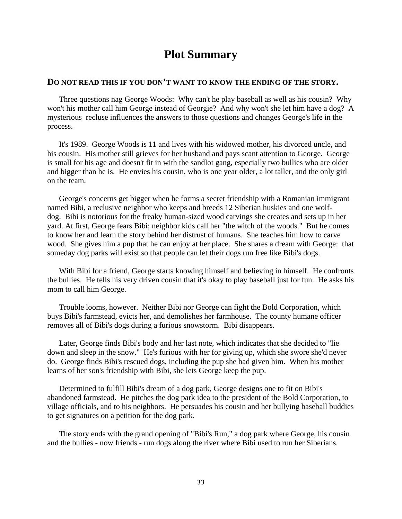### **Plot Summary**

#### **DO NOT READ THIS IF YOU DON'T WANT TO KNOW THE ENDING OF THE STORY.**

Three questions nag George Woods: Why can't he play baseball as well as his cousin? Why won't his mother call him George instead of Georgie? And why won't she let him have a dog? A mysterious recluse influences the answers to those questions and changes George's life in the process.

It's 1989. George Woods is 11 and lives with his widowed mother, his divorced uncle, and his cousin. His mother still grieves for her husband and pays scant attention to George. George is small for his age and doesn't fit in with the sandlot gang, especially two bullies who are older and bigger than he is. He envies his cousin, who is one year older, a lot taller, and the only girl on the team.

George's concerns get bigger when he forms a secret friendship with a Romanian immigrant named Bibi, a reclusive neighbor who keeps and breeds 12 Siberian huskies and one wolfdog. Bibi is notorious for the freaky human-sized wood carvings she creates and sets up in her yard. At first, George fears Bibi; neighbor kids call her "the witch of the woods." But he comes to know her and learn the story behind her distrust of humans. She teaches him how to carve wood. She gives him a pup that he can enjoy at her place. She shares a dream with George: that someday dog parks will exist so that people can let their dogs run free like Bibi's dogs.

With Bibi for a friend, George starts knowing himself and believing in himself. He confronts the bullies. He tells his very driven cousin that it's okay to play baseball just for fun. He asks his mom to call him George.

Trouble looms, however. Neither Bibi nor George can fight the Bold Corporation, which buys Bibi's farmstead, evicts her, and demolishes her farmhouse. The county humane officer removes all of Bibi's dogs during a furious snowstorm. Bibi disappears.

Later, George finds Bibi's body and her last note, which indicates that she decided to "lie down and sleep in the snow." He's furious with her for giving up, which she swore she'd never do. George finds Bibi's rescued dogs, including the pup she had given him. When his mother learns of her son's friendship with Bibi, she lets George keep the pup.

Determined to fulfill Bibi's dream of a dog park, George designs one to fit on Bibi's abandoned farmstead. He pitches the dog park idea to the president of the Bold Corporation, to village officials, and to his neighbors. He persuades his cousin and her bullying baseball buddies to get signatures on a petition for the dog park.

The story ends with the grand opening of "Bibi's Run," a dog park where George, his cousin and the bullies - now friends - run dogs along the river where Bibi used to run her Siberians.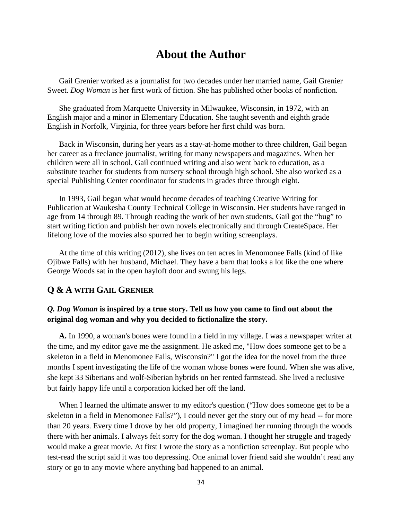### **About the Author**

Gail Grenier worked as a journalist for two decades under her married name, Gail Grenier Sweet. *Dog Woman* is her first work of fiction. She has published other books of nonfiction.

She graduated from Marquette University in Milwaukee, Wisconsin, in 1972, with an English major and a minor in Elementary Education. She taught seventh and eighth grade English in Norfolk, Virginia, for three years before her first child was born.

Back in Wisconsin, during her years as a stay-at-home mother to three children, Gail began her career as a freelance journalist, writing for many newspapers and magazines. When her children were all in school, Gail continued writing and also went back to education, as a substitute teacher for students from nursery school through high school. She also worked as a special Publishing Center coordinator for students in grades three through eight.

In 1993, Gail began what would become decades of teaching Creative Writing for Publication at Waukesha County Technical College in Wisconsin. Her students have ranged in age from 14 through 89. Through reading the work of her own students, Gail got the "bug" to start writing fiction and publish her own novels electronically and through CreateSpace. Her lifelong love of the movies also spurred her to begin writing screenplays.

At the time of this writing (2012), she lives on ten acres in Menomonee Falls (kind of like Ojibwe Falls) with her husband, Michael. They have a barn that looks a lot like the one where George Woods sat in the open hayloft door and swung his legs.

#### **Q & A WITH GAIL GRENIER**

#### *Q. Dog Woman* **is inspired by a true story. Tell us how you came to find out about the original dog woman and why you decided to fictionalize the story.**

**A.** In 1990, a woman's bones were found in a field in my village. I was a newspaper writer at the time, and my editor gave me the assignment. He asked me, "How does someone get to be a skeleton in a field in Menomonee Falls, Wisconsin?" I got the idea for the novel from the three months I spent investigating the life of the woman whose bones were found. When she was alive, she kept 33 Siberians and wolf-Siberian hybrids on her rented farmstead. She lived a reclusive but fairly happy life until a corporation kicked her off the land.

 When I learned the ultimate answer to my editor's question ("How does someone get to be a skeleton in a field in Menomonee Falls?"), I could never get the story out of my head -- for more than 20 years. Every time I drove by her old property, I imagined her running through the woods there with her animals. I always felt sorry for the dog woman. I thought her struggle and tragedy would make a great movie. At first I wrote the story as a nonfiction screenplay. But people who test-read the script said it was too depressing. One animal lover friend said she wouldn't read any story or go to any movie where anything bad happened to an animal.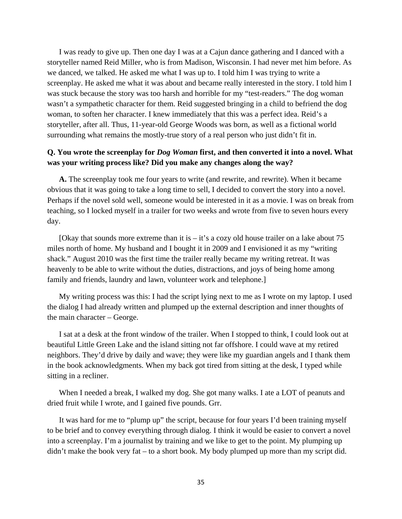I was ready to give up. Then one day I was at a Cajun dance gathering and I danced with a storyteller named Reid Miller, who is from Madison, Wisconsin. I had never met him before. As we danced, we talked. He asked me what I was up to. I told him I was trying to write a screenplay. He asked me what it was about and became really interested in the story. I told him I was stuck because the story was too harsh and horrible for my "test-readers." The dog woman wasn't a sympathetic character for them. Reid suggested bringing in a child to befriend the dog woman, to soften her character. I knew immediately that this was a perfect idea. Reid's a storyteller, after all. Thus, 11-year-old George Woods was born, as well as a fictional world surrounding what remains the mostly-true story of a real person who just didn't fit in.

#### **Q. You wrote the screenplay for** *Dog Woman* **first, and then converted it into a novel. What was your writing process like? Did you make any changes along the way?**

**A.** The screenplay took me four years to write (and rewrite, and rewrite). When it became obvious that it was going to take a long time to sell, I decided to convert the story into a novel. Perhaps if the novel sold well, someone would be interested in it as a movie. I was on break from teaching, so I locked myself in a trailer for two weeks and wrote from five to seven hours every day.

[Okay that sounds more extreme than it is  $-$  it's a cozy old house trailer on a lake about 75 miles north of home. My husband and I bought it in 2009 and I envisioned it as my "writing shack." August 2010 was the first time the trailer really became my writing retreat. It was heavenly to be able to write without the duties, distractions, and joys of being home among family and friends, laundry and lawn, volunteer work and telephone.]

 My writing process was this: I had the script lying next to me as I wrote on my laptop. I used the dialog I had already written and plumped up the external description and inner thoughts of the main character – George.

 I sat at a desk at the front window of the trailer. When I stopped to think, I could look out at beautiful Little Green Lake and the island sitting not far offshore. I could wave at my retired neighbors. They'd drive by daily and wave; they were like my guardian angels and I thank them in the book acknowledgments. When my back got tired from sitting at the desk, I typed while sitting in a recliner.

When I needed a break, I walked my dog. She got many walks. I ate a LOT of peanuts and dried fruit while I wrote, and I gained five pounds. Grr.

 It was hard for me to "plump up" the script, because for four years I'd been training myself to be brief and to convey everything through dialog. I think it would be easier to convert a novel into a screenplay. I'm a journalist by training and we like to get to the point. My plumping up didn't make the book very fat – to a short book. My body plumped up more than my script did.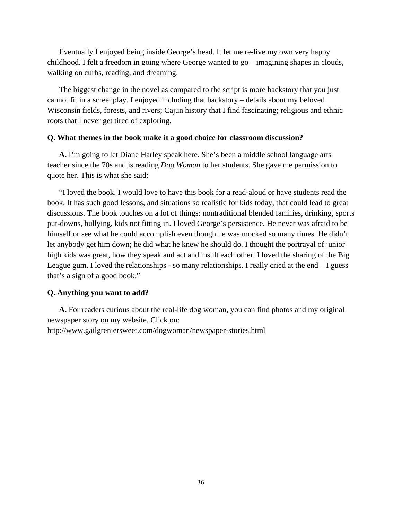Eventually I enjoyed being inside George's head. It let me re-live my own very happy childhood. I felt a freedom in going where George wanted to go – imagining shapes in clouds, walking on curbs, reading, and dreaming.

 The biggest change in the novel as compared to the script is more backstory that you just cannot fit in a screenplay. I enjoyed including that backstory – details about my beloved Wisconsin fields, forests, and rivers; Cajun history that I find fascinating; religious and ethnic roots that I never get tired of exploring.

#### **Q. What themes in the book make it a good choice for classroom discussion?**

**A.** I'm going to let Diane Harley speak here. She's been a middle school language arts teacher since the 70s and is reading *Dog Woman* to her students. She gave me permission to quote her. This is what she said:

 "I loved the book. I would love to have this book for a read-aloud or have students read the book. It has such good lessons, and situations so realistic for kids today, that could lead to great discussions. The book touches on a lot of things: nontraditional blended families, drinking, sports put-downs, bullying, kids not fitting in. I loved George's persistence. He never was afraid to be himself or see what he could accomplish even though he was mocked so many times. He didn't let anybody get him down; he did what he knew he should do. I thought the portrayal of junior high kids was great, how they speak and act and insult each other. I loved the sharing of the Big League gum. I loved the relationships - so many relationships. I really cried at the end – I guess that's a sign of a good book."

#### **Q. Anything you want to add?**

**A.** For readers curious about the real-life dog woman, you can find photos and my original newspaper story on my website. Click on: http://www.gailgreniersweet.com/dogwoman/newspaper-stories.html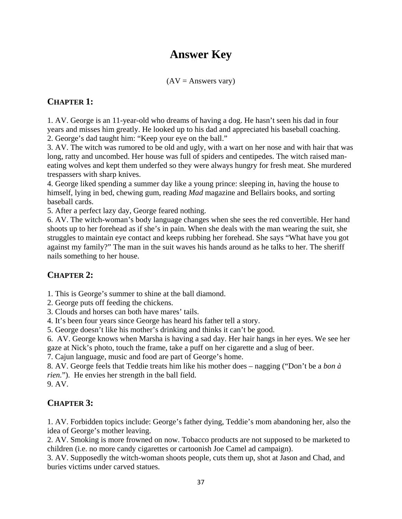# **Answer Key**

 $(AV =$  Answers vary)

#### **CHAPTER 1:**

1. AV. George is an 11-year-old who dreams of having a dog. He hasn't seen his dad in four years and misses him greatly. He looked up to his dad and appreciated his baseball coaching. 2. George's dad taught him: "Keep your eye on the ball."

3. AV. The witch was rumored to be old and ugly, with a wart on her nose and with hair that was long, ratty and uncombed. Her house was full of spiders and centipedes. The witch raised maneating wolves and kept them underfed so they were always hungry for fresh meat. She murdered trespassers with sharp knives.

4. George liked spending a summer day like a young prince: sleeping in, having the house to himself, lying in bed, chewing gum, reading *Mad* magazine and Bellairs books, and sorting baseball cards.

5. After a perfect lazy day, George feared nothing.

6. AV. The witch-woman's body language changes when she sees the red convertible. Her hand shoots up to her forehead as if she's in pain. When she deals with the man wearing the suit, she struggles to maintain eye contact and keeps rubbing her forehead. She says "What have you got against my family?" The man in the suit waves his hands around as he talks to her. The sheriff nails something to her house.

### **CHAPTER 2:**

1. This is George's summer to shine at the ball diamond.

2. George puts off feeding the chickens.

3. Clouds and horses can both have mares' tails.

4. It's been four years since George has heard his father tell a story.

5. George doesn't like his mother's drinking and thinks it can't be good.

6. AV. George knows when Marsha is having a sad day. Her hair hangs in her eyes. We see her gaze at Nick's photo, touch the frame, take a puff on her cigarette and a slug of beer.

7. Cajun language, music and food are part of George's home.

8. AV. George feels that Teddie treats him like his mother does – nagging ("Don't be a *bon à rien.*"). He envies her strength in the ball field.

9. AV.

### **CHAPTER 3:**

1. AV. Forbidden topics include: George's father dying, Teddie's mom abandoning her, also the idea of George's mother leaving.

2. AV. Smoking is more frowned on now. Tobacco products are not supposed to be marketed to children (i.e. no more candy cigarettes or cartoonish Joe Camel ad campaign).

3. AV. Supposedly the witch-woman shoots people, cuts them up, shot at Jason and Chad, and buries victims under carved statues.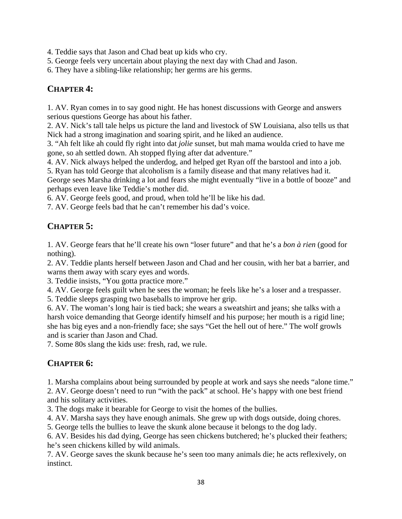4. Teddie says that Jason and Chad beat up kids who cry.

5. George feels very uncertain about playing the next day with Chad and Jason.

6. They have a sibling-like relationship; her germs are his germs.

### **CHAPTER 4:**

1. AV. Ryan comes in to say good night. He has honest discussions with George and answers serious questions George has about his father.

2. AV. Nick's tall tale helps us picture the land and livestock of SW Louisiana, also tells us that Nick had a strong imagination and soaring spirit, and he liked an audience.

3. "Ah felt like ah could fly right into dat *jolie* sunset, but mah mama woulda cried to have me gone, so ah settled down. Ah stopped flying after dat adventure."

4. AV. Nick always helped the underdog, and helped get Ryan off the barstool and into a job. 5. Ryan has told George that alcoholism is a family disease and that many relatives had it.

George sees Marsha drinking a lot and fears she might eventually "live in a bottle of booze" and perhaps even leave like Teddie's mother did.

6. AV. George feels good, and proud, when told he'll be like his dad.

7. AV. George feels bad that he can't remember his dad's voice.

### **CHAPTER 5:**

1. AV. George fears that he'll create his own "loser future" and that he's a *bon à rien* (good for nothing).

2. AV. Teddie plants herself between Jason and Chad and her cousin, with her bat a barrier, and warns them away with scary eyes and words.

3. Teddie insists, "You gotta practice more."

4. AV. George feels guilt when he sees the woman; he feels like he's a loser and a trespasser.

5. Teddie sleeps grasping two baseballs to improve her grip.

6. AV. The woman's long hair is tied back; she wears a sweatshirt and jeans; she talks with a harsh voice demanding that George identify himself and his purpose; her mouth is a rigid line; she has big eyes and a non-friendly face; she says "Get the hell out of here." The wolf growls and is scarier than Jason and Chad.

7. Some 80s slang the kids use: fresh, rad, we rule.

### **CHAPTER 6:**

1. Marsha complains about being surrounded by people at work and says she needs "alone time." 2. AV. George doesn't need to run "with the pack" at school. He's happy with one best friend and his solitary activities.

3. The dogs make it bearable for George to visit the homes of the bullies.

4. AV. Marsha says they have enough animals. She grew up with dogs outside, doing chores.

5. George tells the bullies to leave the skunk alone because it belongs to the dog lady.

6. AV. Besides his dad dying, George has seen chickens butchered; he's plucked their feathers; he's seen chickens killed by wild animals.

7. AV. George saves the skunk because he's seen too many animals die; he acts reflexively, on instinct.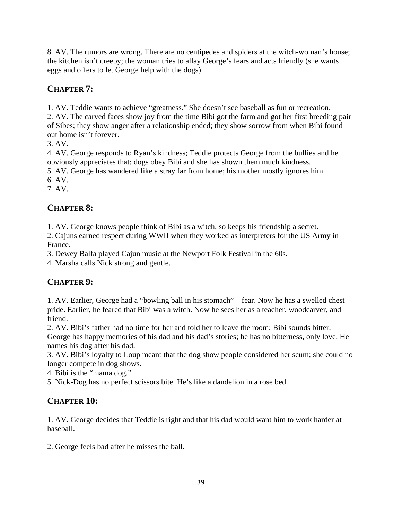8. AV. The rumors are wrong. There are no centipedes and spiders at the witch-woman's house; the kitchen isn't creepy; the woman tries to allay George's fears and acts friendly (she wants eggs and offers to let George help with the dogs).

### **CHAPTER 7:**

1. AV. Teddie wants to achieve "greatness." She doesn't see baseball as fun or recreation. 2. AV. The carved faces show joy from the time Bibi got the farm and got her first breeding pair of Sibes; they show anger after a relationship ended; they show sorrow from when Bibi found out home isn't forever.

3. AV.

4. AV. George responds to Ryan's kindness; Teddie protects George from the bullies and he obviously appreciates that; dogs obey Bibi and she has shown them much kindness.

5. AV. George has wandered like a stray far from home; his mother mostly ignores him. 6. AV.

7. AV.

### **CHAPTER 8:**

1. AV. George knows people think of Bibi as a witch, so keeps his friendship a secret.

2. Cajuns earned respect during WWII when they worked as interpreters for the US Army in France.

3. Dewey Balfa played Cajun music at the Newport Folk Festival in the 60s.

4. Marsha calls Nick strong and gentle.

### **CHAPTER 9:**

1. AV. Earlier, George had a "bowling ball in his stomach" – fear. Now he has a swelled chest – pride. Earlier, he feared that Bibi was a witch. Now he sees her as a teacher, woodcarver, and friend.

2. AV. Bibi's father had no time for her and told her to leave the room; Bibi sounds bitter. George has happy memories of his dad and his dad's stories; he has no bitterness, only love. He names his dog after his dad.

3. AV. Bibi's loyalty to Loup meant that the dog show people considered her scum; she could no longer compete in dog shows.

4. Bibi is the "mama dog."

5. Nick-Dog has no perfect scissors bite. He's like a dandelion in a rose bed.

### **CHAPTER 10:**

1. AV. George decides that Teddie is right and that his dad would want him to work harder at baseball.

2. George feels bad after he misses the ball.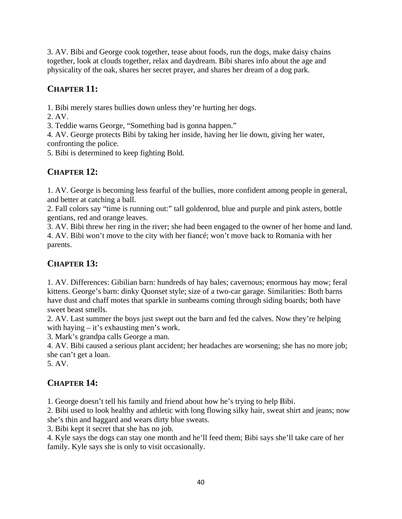3. AV. Bibi and George cook together, tease about foods, run the dogs, make daisy chains together, look at clouds together, relax and daydream. Bibi shares info about the age and physicality of the oak, shares her secret prayer, and shares her dream of a dog park.

### **CHAPTER 11:**

1. Bibi merely stares bullies down unless they're hurting her dogs.

2. AV.

3. Teddie warns George, "Something bad is gonna happen."

4. AV. George protects Bibi by taking her inside, having her lie down, giving her water, confronting the police.

5. Bibi is determined to keep fighting Bold.

### **CHAPTER 12:**

1. AV. George is becoming less fearful of the bullies, more confident among people in general, and better at catching a ball.

2. Fall colors say "time is running out:" tall goldenrod, blue and purple and pink asters, bottle gentians, red and orange leaves.

3. AV. Bibi threw her ring in the river; she had been engaged to the owner of her home and land. 4. AV. Bibi won't move to the city with her fiancé; won't move back to Romania with her parents.

### **CHAPTER 13:**

1. AV. Differences: Gibilian barn: hundreds of hay bales; cavernous; enormous hay mow; feral kittens. George's barn: dinky Quonset style; size of a two-car garage. Similarities: Both barns have dust and chaff motes that sparkle in sunbeams coming through siding boards; both have sweet beast smells.

2. AV. Last summer the boys just swept out the barn and fed the calves. Now they're helping with haying – it's exhausting men's work.

3. Mark's grandpa calls George a man.

4. AV. Bibi caused a serious plant accident; her headaches are worsening; she has no more job; she can't get a loan.

5. AV.

### **CHAPTER 14:**

1. George doesn't tell his family and friend about how he's trying to help Bibi.

2. Bibi used to look healthy and athletic with long flowing silky hair, sweat shirt and jeans; now she's thin and haggard and wears dirty blue sweats.

3. Bibi kept it secret that she has no job.

4. Kyle says the dogs can stay one month and he'll feed them; Bibi says she'll take care of her family. Kyle says she is only to visit occasionally.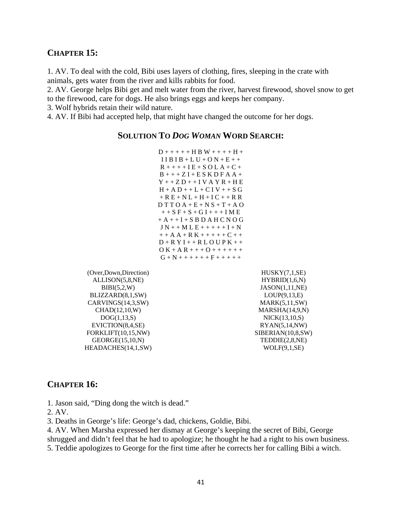#### **CHAPTER 15:**

1. AV. To deal with the cold, Bibi uses layers of clothing, fires, sleeping in the crate with animals, gets water from the river and kills rabbits for food.

2. AV. George helps Bibi get and melt water from the river, harvest firewood, shovel snow to get

to the firewood, care for dogs. He also brings eggs and keeps her company.

3. Wolf hybrids retain their wild nature.

4. AV. If Bibi had accepted help, that might have changed the outcome for her dogs.

#### **SOLUTION TO** *DOG WOMAN* **WORD SEARCH:**

```
D + + + + + H B W + + + + H +
 I I B I B + L U + O N + E + +
R + + + + I E + S O L A + C +
B + + + Z I + E S K D F A A +
Y + + Z D + + I V A Y R + H EH + A D + + L + C I V + + S G+ R E + N L + H + I C + + R R
D T T O A + E + N S + T + A O+ + S F + S + G I + + + I M E
+A + I + S B D A H C N O G\bf J N + + M L E + + + + + \bf I + \bf N+ + A A + R K + + + + + C + +D + R Y I + + R L O U P K + +\overline{O K + A R + + + O + + + + + + + }G + N + + + + + + + + + + +
```
(Over,Down,Direction) ALLISON(5,8,NE) BIBI(5,2,W) BLIZZARD(8,1,SW) CARVINGS(14,3,SW) CHAD(12,10,W) DOG(1,13,S) EVICTION(8,4,SE) FORKLIFT(10,15,NW) GEORGE(15,10,N) HEADACHES(14,1,SW)

HUSKY(7,1,SE) HYBRID(1,6,N) JASON(1,11,NE) LOUP(9,13,E) MARK(5,11,SW) MARSHA(14,9,N) NICK(13,10,S) RYAN(5,14,NW) SIBERIAN(10,8,SW) TEDDIE(2,8,NE)  $WOLF(9,1,SE)$ 

#### **CHAPTER 16:**

1. Jason said, "Ding dong the witch is dead."

2. AV.

3. Deaths in George's life: George's dad, chickens, Goldie, Bibi.

4. AV. When Marsha expressed her dismay at George's keeping the secret of Bibi, George

shrugged and didn't feel that he had to apologize; he thought he had a right to his own business.

5. Teddie apologizes to George for the first time after he corrects her for calling Bibi a witch.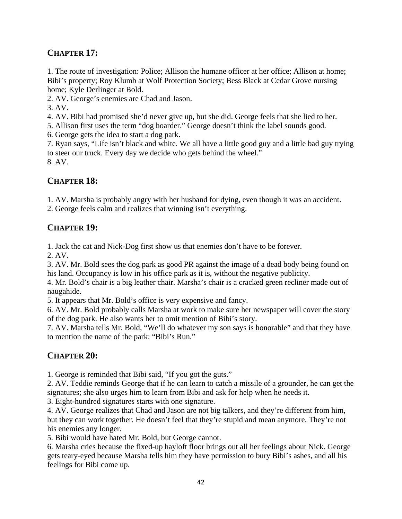### **CHAPTER 17:**

1. The route of investigation: Police; Allison the humane officer at her office; Allison at home; Bibi's property; Roy Klumb at Wolf Protection Society; Bess Black at Cedar Grove nursing home; Kyle Derlinger at Bold.

2. AV. George's enemies are Chad and Jason.

3. AV.

4. AV. Bibi had promised she'd never give up, but she did. George feels that she lied to her.

5. Allison first uses the term "dog hoarder." George doesn't think the label sounds good.

6. George gets the idea to start a dog park.

7. Ryan says, "Life isn't black and white. We all have a little good guy and a little bad guy trying to steer our truck. Every day we decide who gets behind the wheel." 8. AV.

### **CHAPTER 18:**

1. AV. Marsha is probably angry with her husband for dying, even though it was an accident.

2. George feels calm and realizes that winning isn't everything.

### **CHAPTER 19:**

1. Jack the cat and Nick-Dog first show us that enemies don't have to be forever.

2. AV.

3. AV. Mr. Bold sees the dog park as good PR against the image of a dead body being found on his land. Occupancy is low in his office park as it is, without the negative publicity.

4. Mr. Bold's chair is a big leather chair. Marsha's chair is a cracked green recliner made out of naugahide.

5. It appears that Mr. Bold's office is very expensive and fancy.

6. AV. Mr. Bold probably calls Marsha at work to make sure her newspaper will cover the story of the dog park. He also wants her to omit mention of Bibi's story.

7. AV. Marsha tells Mr. Bold, "We'll do whatever my son says is honorable" and that they have to mention the name of the park: "Bibi's Run."

### **CHAPTER 20:**

1. George is reminded that Bibi said, "If you got the guts."

2. AV. Teddie reminds George that if he can learn to catch a missile of a grounder, he can get the signatures; she also urges him to learn from Bibi and ask for help when he needs it.

3. Eight-hundred signatures starts with one signature.

4. AV. George realizes that Chad and Jason are not big talkers, and they're different from him, but they can work together. He doesn't feel that they're stupid and mean anymore. They're not his enemies any longer.

5. Bibi would have hated Mr. Bold, but George cannot.

6. Marsha cries because the fixed-up hayloft floor brings out all her feelings about Nick. George gets teary-eyed because Marsha tells him they have permission to bury Bibi's ashes, and all his feelings for Bibi come up.